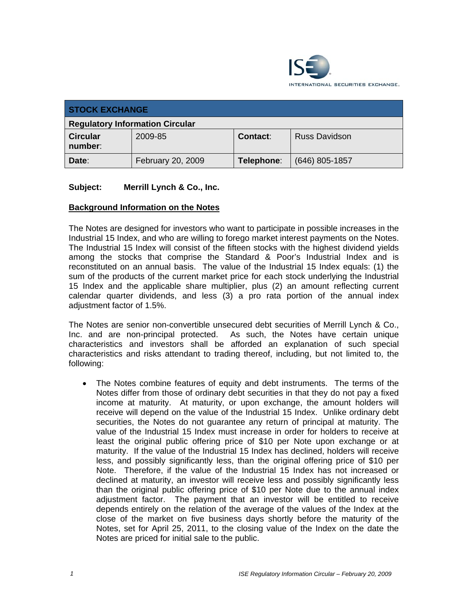

| <b>STOCK EXCHANGE</b>                  |                   |            |                      |  |  |
|----------------------------------------|-------------------|------------|----------------------|--|--|
| <b>Regulatory Information Circular</b> |                   |            |                      |  |  |
| <b>Circular</b><br>number:             | 2009-85           | Contact:   | <b>Russ Davidson</b> |  |  |
| Date:                                  | February 20, 2009 | Telephone: | $(646)$ 805-1857     |  |  |

# **Subject: Merrill Lynch & Co., Inc.**

# **Background Information on the Notes**

The Notes are designed for investors who want to participate in possible increases in the Industrial 15 Index, and who are willing to forego market interest payments on the Notes. The Industrial 15 Index will consist of the fifteen stocks with the highest dividend yields among the stocks that comprise the Standard & Poor's Industrial Index and is reconstituted on an annual basis. The value of the Industrial 15 Index equals: (1) the sum of the products of the current market price for each stock underlying the Industrial 15 Index and the applicable share multiplier, plus (2) an amount reflecting current calendar quarter dividends, and less (3) a pro rata portion of the annual index adjustment factor of 1.5%.

The Notes are senior non-convertible unsecured debt securities of Merrill Lynch & Co., Inc. and are non-principal protected. As such, the Notes have certain unique characteristics and investors shall be afforded an explanation of such special characteristics and risks attendant to trading thereof, including, but not limited to, the following:

• The Notes combine features of equity and debt instruments. The terms of the Notes differ from those of ordinary debt securities in that they do not pay a fixed income at maturity. At maturity, or upon exchange, the amount holders will receive will depend on the value of the Industrial 15 Index. Unlike ordinary debt securities, the Notes do not guarantee any return of principal at maturity. The value of the Industrial 15 Index must increase in order for holders to receive at least the original public offering price of \$10 per Note upon exchange or at maturity. If the value of the Industrial 15 Index has declined, holders will receive less, and possibly significantly less, than the original offering price of \$10 per Note. Therefore, if the value of the Industrial 15 Index has not increased or declined at maturity, an investor will receive less and possibly significantly less than the original public offering price of \$10 per Note due to the annual index adjustment factor. The payment that an investor will be entitled to receive depends entirely on the relation of the average of the values of the Index at the close of the market on five business days shortly before the maturity of the Notes, set for April 25, 2011, to the closing value of the Index on the date the Notes are priced for initial sale to the public.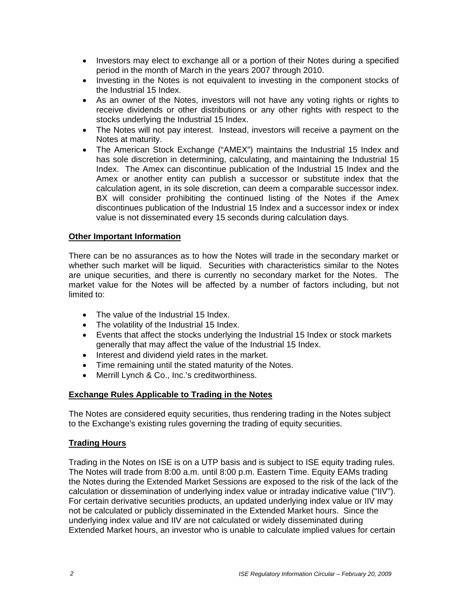- Investors may elect to exchange all or a portion of their Notes during a specified period in the month of March in the years 2007 through 2010.
- Investing in the Notes is not equivalent to investing in the component stocks of the Industrial 15 Index.
- As an owner of the Notes, investors will not have any voting rights or rights to receive dividends or other distributions or any other rights with respect to the stocks underlying the Industrial 15 Index.
- The Notes will not pay interest. Instead, investors will receive a payment on the Notes at maturity.
- The American Stock Exchange ("AMEX") maintains the Industrial 15 Index and has sole discretion in determining, calculating, and maintaining the Industrial 15 Index. The Amex can discontinue publication of the Industrial 15 Index and the Amex or another entity can publish a successor or substitute index that the calculation agent, in its sole discretion, can deem a comparable successor index. BX will consider prohibiting the continued listing of the Notes if the Amex discontinues publication of the Industrial 15 Index and a successor index or index value is not disseminated every 15 seconds during calculation days.

# **Other Important Information**

There can be no assurances as to how the Notes will trade in the secondary market or whether such market will be liquid. Securities with characteristics similar to the Notes are unique securities, and there is currently no secondary market for the Notes. The market value for the Notes will be affected by a number of factors including, but not limited to:

- The value of the Industrial 15 Index.
- The volatility of the Industrial 15 Index.
- Events that affect the stocks underlying the Industrial 15 Index or stock markets generally that may affect the value of the Industrial 15 Index.
- Interest and dividend yield rates in the market.
- Time remaining until the stated maturity of the Notes.
- Merrill Lynch & Co., Inc.'s creditworthiness.

#### **Exchange Rules Applicable to Trading in the Notes**

The Notes are considered equity securities, thus rendering trading in the Notes subject to the Exchange's existing rules governing the trading of equity securities.

#### **Trading Hours**

Trading in the Notes on ISE is on a UTP basis and is subject to ISE equity trading rules. The Notes will trade from 8:00 a.m. until 8:00 p.m. Eastern Time. Equity EAMs trading the Notes during the Extended Market Sessions are exposed to the risk of the lack of the calculation or dissemination of underlying index value or intraday indicative value ("IIV"). For certain derivative securities products, an updated underlying index value or IIV may not be calculated or publicly disseminated in the Extended Market hours. Since the underlying index value and IIV are not calculated or widely disseminated during Extended Market hours, an investor who is unable to calculate implied values for certain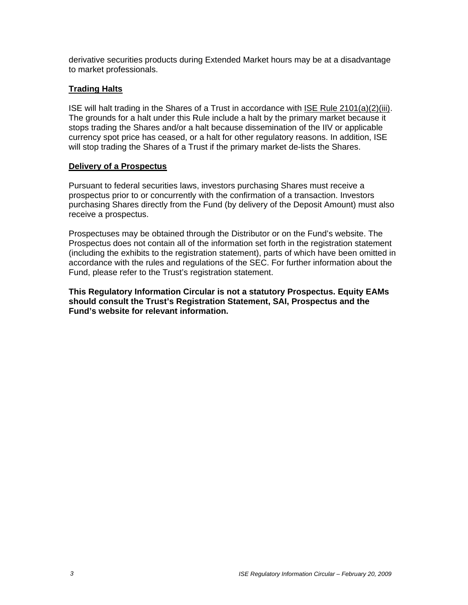derivative securities products during Extended Market hours may be at a disadvantage to market professionals.

# **Trading Halts**

ISE will halt trading in the Shares of a Trust in accordance with ISE Rule 2101(a)(2)(iii). The grounds for a halt under this Rule include a halt by the primary market because it stops trading the Shares and/or a halt because dissemination of the IIV or applicable currency spot price has ceased, or a halt for other regulatory reasons. In addition, ISE will stop trading the Shares of a Trust if the primary market de-lists the Shares.

# **Delivery of a Prospectus**

Pursuant to federal securities laws, investors purchasing Shares must receive a prospectus prior to or concurrently with the confirmation of a transaction. Investors purchasing Shares directly from the Fund (by delivery of the Deposit Amount) must also receive a prospectus.

Prospectuses may be obtained through the Distributor or on the Fund's website. The Prospectus does not contain all of the information set forth in the registration statement (including the exhibits to the registration statement), parts of which have been omitted in accordance with the rules and regulations of the SEC. For further information about the Fund, please refer to the Trust's registration statement.

**This Regulatory Information Circular is not a statutory Prospectus. Equity EAMs should consult the Trust's Registration Statement, SAI, Prospectus and the Fund's website for relevant information.**